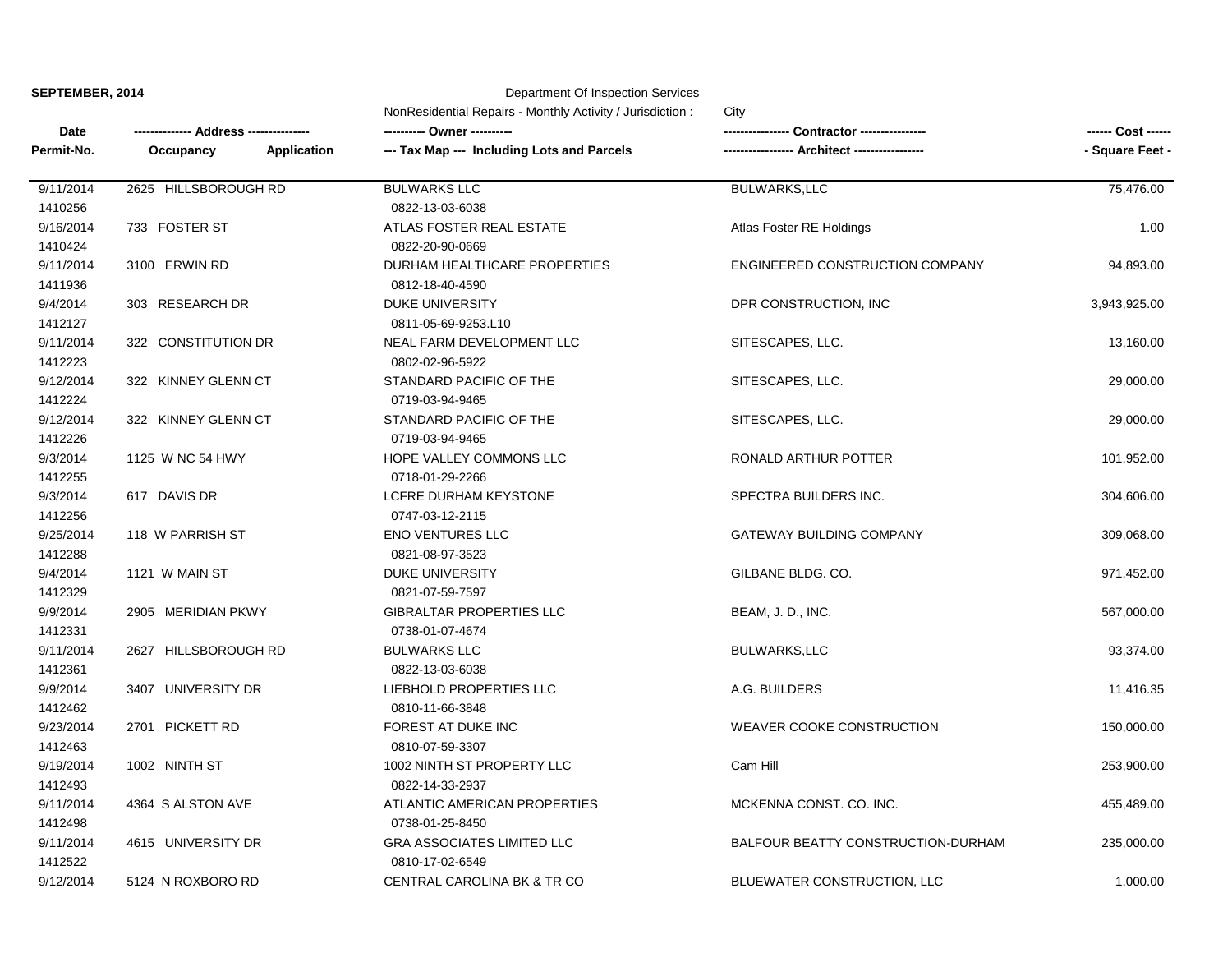|  | SEPTEMBER, 2014 |  |
|--|-----------------|--|
|--|-----------------|--|

## **SEPTEMBER, 2014** Department Of Inspection Services

|                      | NonResidential Repairs - Monthly Activity / Jurisdiction:<br>City |                                              |                                    |                    |  |
|----------------------|-------------------------------------------------------------------|----------------------------------------------|------------------------------------|--------------------|--|
| Date                 | -- Address ---------------                                        |                                              | Contractor ----------------        | ------ Cost ------ |  |
| Permit-No.           | <b>Application</b><br>Occupancy                                   | --- Tax Map --- Including Lots and Parcels   | -- Architect --                    | - Square Feet -    |  |
| 9/11/2014            | 2625 HILLSBOROUGH RD                                              | <b>BULWARKS LLC</b>                          | <b>BULWARKS,LLC</b>                | 75,476.00          |  |
| 1410256              |                                                                   | 0822-13-03-6038                              |                                    |                    |  |
| 9/16/2014<br>1410424 | 733 FOSTER ST                                                     | ATLAS FOSTER REAL ESTATE<br>0822-20-90-0669  | Atlas Foster RE Holdings           | 1.00               |  |
| 9/11/2014            | 3100 ERWIN RD                                                     | DURHAM HEALTHCARE PROPERTIES                 | ENGINEERED CONSTRUCTION COMPANY    | 94,893.00          |  |
| 1411936              |                                                                   | 0812-18-40-4590                              |                                    |                    |  |
| 9/4/2014             | 303 RESEARCH DR                                                   | <b>DUKE UNIVERSITY</b>                       | DPR CONSTRUCTION, INC              | 3,943,925.00       |  |
| 1412127              |                                                                   | 0811-05-69-9253.L10                          |                                    |                    |  |
| 9/11/2014<br>1412223 | 322 CONSTITUTION DR                                               | NEAL FARM DEVELOPMENT LLC<br>0802-02-96-5922 | SITESCAPES, LLC.                   | 13,160.00          |  |
| 9/12/2014            | 322 KINNEY GLENN CT                                               | STANDARD PACIFIC OF THE                      | SITESCAPES, LLC.                   | 29,000.00          |  |
| 1412224              |                                                                   | 0719-03-94-9465                              |                                    |                    |  |
| 9/12/2014            | 322 KINNEY GLENN CT                                               | STANDARD PACIFIC OF THE                      | SITESCAPES, LLC.                   | 29,000.00          |  |
| 1412226              |                                                                   | 0719-03-94-9465                              |                                    |                    |  |
| 9/3/2014             | 1125 W NC 54 HWY                                                  | HOPE VALLEY COMMONS LLC                      | RONALD ARTHUR POTTER               | 101,952.00         |  |
| 1412255              |                                                                   | 0718-01-29-2266                              |                                    |                    |  |
| 9/3/2014             | 617 DAVIS DR                                                      | LCFRE DURHAM KEYSTONE                        | SPECTRA BUILDERS INC.              | 304,606.00         |  |
| 1412256              |                                                                   | 0747-03-12-2115                              |                                    |                    |  |
| 9/25/2014            | 118 W PARRISH ST                                                  | <b>ENO VENTURES LLC</b>                      | GATEWAY BUILDING COMPANY           | 309,068.00         |  |
| 1412288              |                                                                   | 0821-08-97-3523                              |                                    |                    |  |
| 9/4/2014             | 1121 W MAIN ST                                                    | DUKE UNIVERSITY                              | GILBANE BLDG. CO.                  | 971,452.00         |  |
| 1412329              |                                                                   | 0821-07-59-7597                              |                                    |                    |  |
| 9/9/2014             | 2905 MERIDIAN PKWY                                                | GIBRALTAR PROPERTIES LLC                     | BEAM, J. D., INC.                  | 567,000.00         |  |
| 1412331              |                                                                   | 0738-01-07-4674                              |                                    |                    |  |
| 9/11/2014            | 2627 HILLSBOROUGH RD                                              | <b>BULWARKS LLC</b>                          | <b>BULWARKS,LLC</b>                | 93,374.00          |  |
| 1412361              |                                                                   | 0822-13-03-6038                              |                                    |                    |  |
| 9/9/2014             | 3407 UNIVERSITY DR                                                | LIEBHOLD PROPERTIES LLC                      | A.G. BUILDERS                      | 11,416.35          |  |
| 1412462              |                                                                   | 0810-11-66-3848                              |                                    |                    |  |
| 9/23/2014            | 2701 PICKETT RD                                                   | FOREST AT DUKE INC                           | <b>WEAVER COOKE CONSTRUCTION</b>   | 150,000.00         |  |
| 1412463              |                                                                   | 0810-07-59-3307                              |                                    |                    |  |
| 9/19/2014            | 1002 NINTH ST                                                     | 1002 NINTH ST PROPERTY LLC                   | Cam Hill                           | 253,900.00         |  |
| 1412493              |                                                                   | 0822-14-33-2937                              |                                    |                    |  |
| 9/11/2014            | 4364 S ALSTON AVE                                                 | ATLANTIC AMERICAN PROPERTIES                 | MCKENNA CONST. CO. INC.            | 455,489.00         |  |
| 1412498              |                                                                   | 0738-01-25-8450                              |                                    |                    |  |
| 9/11/2014            | 4615 UNIVERSITY DR                                                | <b>GRA ASSOCIATES LIMITED LLC</b>            | BALFOUR BEATTY CONSTRUCTION-DURHAM | 235,000.00         |  |
| 1412522              |                                                                   | 0810-17-02-6549                              |                                    |                    |  |
| 9/12/2014            | 5124 N ROXBORO RD                                                 | CENTRAL CAROLINA BK & TR CO                  | BLUEWATER CONSTRUCTION, LLC        | 1,000.00           |  |